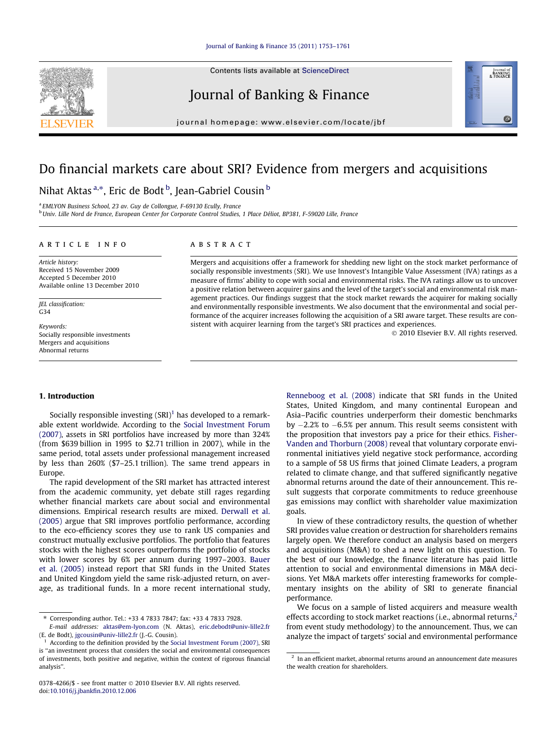Contents lists available at [ScienceDirect](http://www.sciencedirect.com/science/journal/03784266)

# Journal of Banking & Finance

journal homepage: [www.elsevier.com/locate/jbf](http://www.elsevier.com/locate/jbf)

## Do financial markets care about SRI? Evidence from mergers and acquisitions

### Nihat Aktas <sup>a,</sup>\*, Eric de Bodt <sup>b</sup>, Jean-Gabriel Cousin <sup>b</sup>

<sup>a</sup> EMLYON Business School, 23 av. Guy de Collongue, F-69130 Ecully, France <sup>b</sup> Univ. Lille Nord de France, European Center for Corporate Control Studies, 1 Place Déliot, BP381, F-59020 Lille, France

#### article info

Article history: Received 15 November 2009 Accepted 5 December 2010 Available online 13 December 2010

JEL classification: G34

Keywords: Socially responsible investments Mergers and acquisitions Abnormal returns

#### **ABSTRACT**

Mergers and acquisitions offer a framework for shedding new light on the stock market performance of socially responsible investments (SRI). We use Innovest's Intangible Value Assessment (IVA) ratings as a measure of firms' ability to cope with social and environmental risks. The IVA ratings allow us to uncover a positive relation between acquirer gains and the level of the target's social and environmental risk management practices. Our findings suggest that the stock market rewards the acquirer for making socially and environmentally responsible investments. We also document that the environmental and social performance of the acquirer increases following the acquisition of a SRI aware target. These results are consistent with acquirer learning from the target's SRI practices and experiences.

© 2010 Elsevier B.V. All rights reserved.

#### 1. Introduction

Socially responsible investing  $(SRI)^1$  has developed to a remarkable extent worldwide. According to the [Social Investment Forum](#page--1-0) [\(2007\),](#page--1-0) assets in SRI portfolios have increased by more than 324% (from \$639 billion in 1995 to \$2.71 trillion in 2007), while in the same period, total assets under professional management increased by less than 260% (\$7–25.1 trillion). The same trend appears in Europe.

The rapid development of the SRI market has attracted interest from the academic community, yet debate still rages regarding whether financial markets care about social and environmental dimensions. Empirical research results are mixed. [Derwall et al.](#page--1-0) [\(2005\)](#page--1-0) argue that SRI improves portfolio performance, according to the eco-efficiency scores they use to rank US companies and construct mutually exclusive portfolios. The portfolio that features stocks with the highest scores outperforms the portfolio of stocks with lower scores by 6% per annum during 1997–2003. [Bauer](#page--1-0) [et al. \(2005\)](#page--1-0) instead report that SRI funds in the United States and United Kingdom yield the same risk-adjusted return, on average, as traditional funds. In a more recent international study, [Renneboog et al. \(2008\)](#page--1-0) indicate that SRI funds in the United States, United Kingdom, and many continental European and Asia–Pacific countries underperform their domestic benchmarks by  $-2.2\%$  to  $-6.5\%$  per annum. This result seems consistent with the proposition that investors pay a price for their ethics. [Fisher-](#page--1-0)[Vanden and Thorburn \(2008\)](#page--1-0) reveal that voluntary corporate environmental initiatives yield negative stock performance, according to a sample of 58 US firms that joined Climate Leaders, a program related to climate change, and that suffered significantly negative abnormal returns around the date of their announcement. This result suggests that corporate commitments to reduce greenhouse gas emissions may conflict with shareholder value maximization goals.

In view of these contradictory results, the question of whether SRI provides value creation or destruction for shareholders remains largely open. We therefore conduct an analysis based on mergers and acquisitions (M&A) to shed a new light on this question. To the best of our knowledge, the finance literature has paid little attention to social and environmental dimensions in M&A decisions. Yet M&A markets offer interesting frameworks for complementary insights on the ability of SRI to generate financial performance.

We focus on a sample of listed acquirers and measure wealth effects according to stock market reactions (i.e., abnormal returns, $<sup>2</sup>$ </sup> from event study methodology) to the announcement. Thus, we can analyze the impact of targets' social and environmental performance





<sup>⇑</sup> Corresponding author. Tel.: +33 4 7833 7847; fax: +33 4 7833 7928.

E-mail addresses: [aktas@em-lyon.com](mailto:aktas@em-lyon.com) (N. Aktas), [eric.debodt@univ-lille2.fr](mailto:eric.debodt@univ-lille2.fr        ) (E. de Bodt), [jgcousin@univ-lille2.fr](mailto:jgcousin@univ-lille2.fr) (J.-G. Cousin).

<sup>1</sup> According to the definition provided by the [Social Investment Forum \(2007\),](#page--1-0) SRI is ''an investment process that considers the social and environmental consequences of investments, both positive and negative, within the context of rigorous financial analysis''.

 $2$  In an efficient market, abnormal returns around an announcement date measures the wealth creation for shareholders.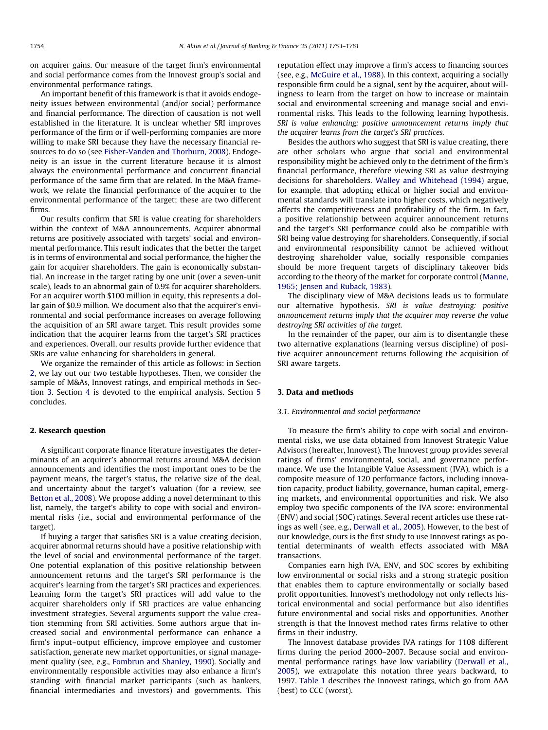on acquirer gains. Our measure of the target firm's environmental and social performance comes from the Innovest group's social and environmental performance ratings.

An important benefit of this framework is that it avoids endogeneity issues between environmental (and/or social) performance and financial performance. The direction of causation is not well established in the literature. It is unclear whether SRI improves performance of the firm or if well-performing companies are more willing to make SRI because they have the necessary financial resources to do so (see [Fisher-Vanden and Thorburn, 2008](#page--1-0)). Endogeneity is an issue in the current literature because it is almost always the environmental performance and concurrent financial performance of the same firm that are related. In the M&A framework, we relate the financial performance of the acquirer to the environmental performance of the target; these are two different firms.

Our results confirm that SRI is value creating for shareholders within the context of M&A announcements. Acquirer abnormal returns are positively associated with targets' social and environmental performance. This result indicates that the better the target is in terms of environmental and social performance, the higher the gain for acquirer shareholders. The gain is economically substantial. An increase in the target rating by one unit (over a seven-unit scale), leads to an abnormal gain of 0.9% for acquirer shareholders. For an acquirer worth \$100 million in equity, this represents a dollar gain of \$0.9 million. We document also that the acquirer's environmental and social performance increases on average following the acquisition of an SRI aware target. This result provides some indication that the acquirer learns from the target's SRI practices and experiences. Overall, our results provide further evidence that SRIs are value enhancing for shareholders in general.

We organize the remainder of this article as follows: in Section 2, we lay out our two testable hypotheses. Then, we consider the sample of M&As, Innovest ratings, and empirical methods in Section 3. Section [4](#page--1-0) is devoted to the empirical analysis. Section [5](#page--1-0) concludes.

#### 2. Research question

A significant corporate finance literature investigates the determinants of an acquirer's abnormal returns around M&A decision announcements and identifies the most important ones to be the payment means, the target's status, the relative size of the deal, and uncertainty about the target's valuation (for a review, see [Betton et al., 2008](#page--1-0)). We propose adding a novel determinant to this list, namely, the target's ability to cope with social and environmental risks (i.e., social and environmental performance of the target).

If buying a target that satisfies SRI is a value creating decision, acquirer abnormal returns should have a positive relationship with the level of social and environmental performance of the target. One potential explanation of this positive relationship between announcement returns and the target's SRI performance is the acquirer's learning from the target's SRI practices and experiences. Learning form the target's SRI practices will add value to the acquirer shareholders only if SRI practices are value enhancing investment strategies. Several arguments support the value creation stemming from SRI activities. Some authors argue that increased social and environmental performance can enhance a firm's input–output efficiency, improve employee and customer satisfaction, generate new market opportunities, or signal management quality (see, e.g., [Fombrun and Shanley, 1990\)](#page--1-0). Socially and environmentally responsible activities may also enhance a firm's standing with financial market participants (such as bankers, financial intermediaries and investors) and governments. This reputation effect may improve a firm's access to financing sources (see, e.g., [McGuire et al., 1988](#page--1-0)). In this context, acquiring a socially responsible firm could be a signal, sent by the acquirer, about willingness to learn from the target on how to increase or maintain social and environmental screening and manage social and environmental risks. This leads to the following learning hypothesis. SRI is value enhancing: positive announcement returns imply that the acquirer learns from the target's SRI practices.

Besides the authors who suggest that SRI is value creating, there are other scholars who argue that social and environmental responsibility might be achieved only to the detriment of the firm's financial performance, therefore viewing SRI as value destroying decisions for shareholders. [Walley and Whitehead \(1994\)](#page--1-0) argue, for example, that adopting ethical or higher social and environmental standards will translate into higher costs, which negatively affects the competitiveness and profitability of the firm. In fact, a positive relationship between acquirer announcement returns and the target's SRI performance could also be compatible with SRI being value destroying for shareholders. Consequently, if social and environmental responsibility cannot be achieved without destroying shareholder value, socially responsible companies should be more frequent targets of disciplinary takeover bids according to the theory of the market for corporate control ([Manne,](#page--1-0) [1965; Jensen and Ruback, 1983](#page--1-0)).

The disciplinary view of M&A decisions leads us to formulate our alternative hypothesis. SRI is value destroying: positive announcement returns imply that the acquirer may reverse the value destroying SRI activities of the target.

In the remainder of the paper, our aim is to disentangle these two alternative explanations (learning versus discipline) of positive acquirer announcement returns following the acquisition of SRI aware targets.

#### 3. Data and methods

#### 3.1. Environmental and social performance

To measure the firm's ability to cope with social and environmental risks, we use data obtained from Innovest Strategic Value Advisors (hereafter, Innovest). The Innovest group provides several ratings of firms' environmental, social, and governance performance. We use the Intangible Value Assessment (IVA), which is a composite measure of 120 performance factors, including innovation capacity, product liability, governance, human capital, emerging markets, and environmental opportunities and risk. We also employ two specific components of the IVA score: environmental (ENV) and social (SOC) ratings. Several recent articles use these ratings as well (see, e.g., [Derwall et al., 2005\)](#page--1-0). However, to the best of our knowledge, ours is the first study to use Innovest ratings as potential determinants of wealth effects associated with M&A transactions.

Companies earn high IVA, ENV, and SOC scores by exhibiting low environmental or social risks and a strong strategic position that enables them to capture environmentally or socially based profit opportunities. Innovest's methodology not only reflects historical environmental and social performance but also identifies future environmental and social risks and opportunities. Another strength is that the Innovest method rates firms relative to other firms in their industry.

The Innovest database provides IVA ratings for 1108 different firms during the period 2000–2007. Because social and environmental performance ratings have low variability ([Derwall et al.,](#page--1-0) [2005\)](#page--1-0), we extrapolate this notation three years backward, to 1997. [Table 1](#page--1-0) describes the Innovest ratings, which go from AAA (best) to CCC (worst).